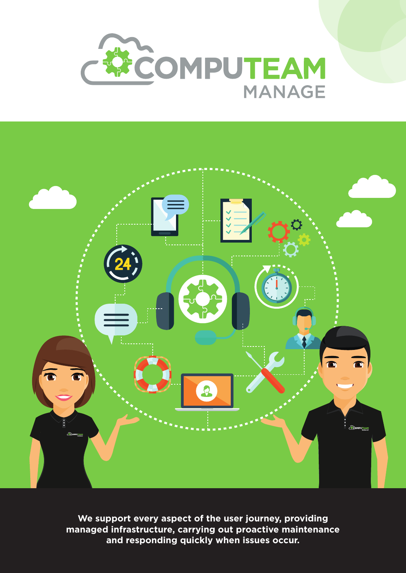



**We support every aspect of the user journey, providing managed infrastructure, carrying out proactive maintenance and responding quickly when issues occur.**